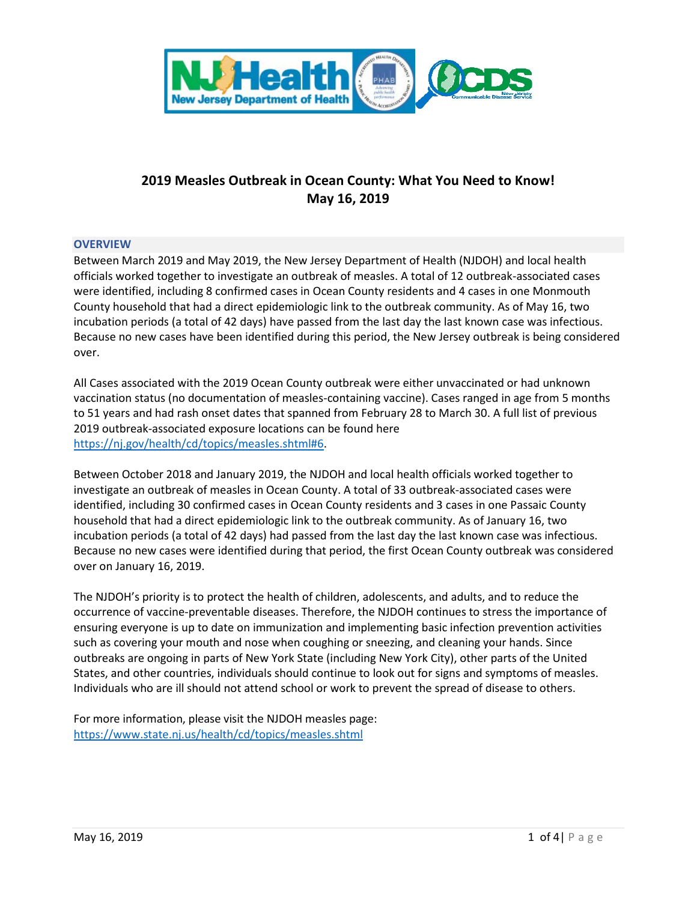

# **2019 Measles Outbreak in Ocean County: What You Need to Know! May 16, 2019**

## **OVERVIEW**

Between March 2019 and May 2019, the New Jersey Department of Health (NJDOH) and local health officials worked together to investigate an outbreak of measles. A total of 12 outbreak-associated cases were identified, including 8 confirmed cases in Ocean County residents and 4 cases in one Monmouth County household that had a direct epidemiologic link to the outbreak community. As of May 16, two incubation periods (a total of 42 days) have passed from the last day the last known case was infectious. Because no new cases have been identified during this period, the New Jersey outbreak is being considered over.

All Cases associated with the 2019 Ocean County outbreak were either unvaccinated or had unknown vaccination status (no documentation of measles-containing vaccine). Cases ranged in age from 5 months to 51 years and had rash onset dates that spanned from February 28 to March 30. A full list of previous 2019 outbreak-associated exposure locations can be found here [https://nj.gov/health/cd/topics/measles.shtml#6.](https://nj.gov/health/cd/topics/measles.shtml#6)

Between October 2018 and January 2019, the NJDOH and local health officials worked together to investigate an outbreak of measles in Ocean County. A total of 33 outbreak-associated cases were identified, including 30 confirmed cases in Ocean County residents and 3 cases in one Passaic County household that had a direct epidemiologic link to the outbreak community. As of January 16, two incubation periods (a total of 42 days) had passed from the last day the last known case was infectious. Because no new cases were identified during that period, the first Ocean County outbreak was considered over on January 16, 2019.

The NJDOH's priority is to protect the health of children, adolescents, and adults, and to reduce the occurrence of vaccine-preventable diseases. Therefore, the NJDOH continues to stress the importance of ensuring everyone is up to date on immunization and implementing basic infection prevention activities such as covering your mouth and nose when coughing or sneezing, and cleaning your hands. Since outbreaks are ongoing in parts of New York State (including New York City), other parts of the United States, and other countries, individuals should continue to look out for signs and symptoms of measles. Individuals who are ill should not attend school or work to prevent the spread of disease to others.

For more information, please visit the NJDOH measles page: <https://www.state.nj.us/health/cd/topics/measles.shtml>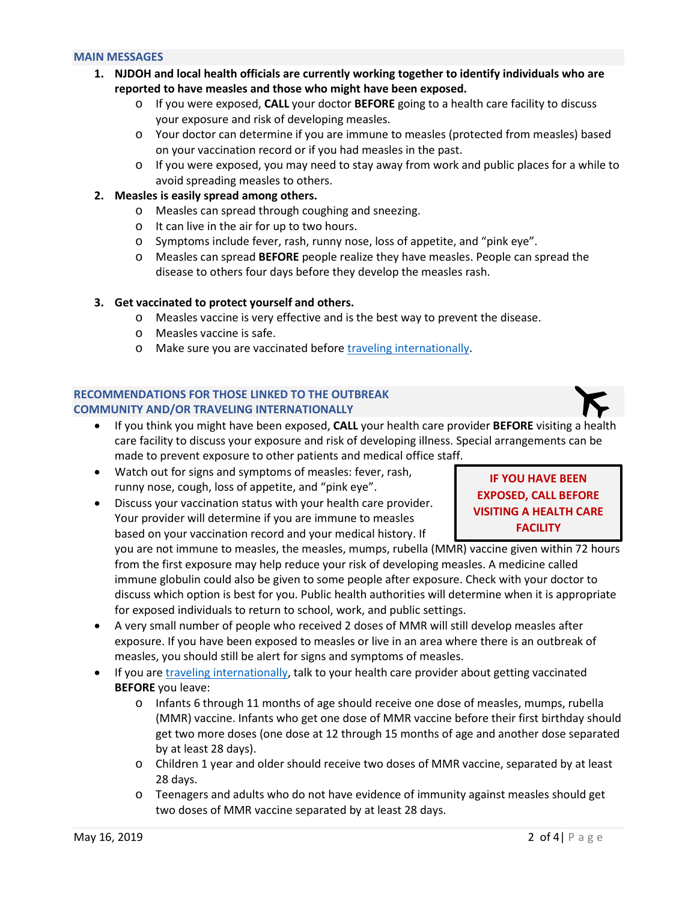#### **MAIN MESSAGES**

- **1. NJDOH and local health officials are currently working together to identify individuals who are reported to have measles and those who might have been exposed.** 
	- o If you were exposed, **CALL** your doctor **BEFORE** going to a health care facility to discuss your exposure and risk of developing measles.
	- o Your doctor can determine if you are immune to measles (protected from measles) based on your vaccination record or if you had measles in the past.
	- $\circ$  If you were exposed, you may need to stay away from work and public places for a while to avoid spreading measles to others.

## **2. Measles is easily spread among others.**

- o Measles can spread through coughing and sneezing.
- o It can live in the air for up to two hours.
- o Symptoms include fever, rash, runny nose, loss of appetite, and "pink eye".
- o Measles can spread **BEFORE** people realize they have measles. People can spread the disease to others four days before they develop the measles rash.

## **3. Get vaccinated to protect yourself and others.**

- o Measles vaccine is very effective and is the best way to prevent the disease.
- o Measles vaccine is safe.
- o Make sure you are vaccinated before [traveling internationally.](https://www.cdc.gov/measles/travelers.html)

## **RECOMMENDATIONS FOR THOSE LINKED TO THE OUTBREAK COMMUNITY AND/OR TRAVELING INTERNATIONALLY**

- If you think you might have been exposed, **CALL** your health care provider **BEFORE** visiting a health care facility to discuss your exposure and risk of developing illness. Special arrangements can be made to prevent exposure to other patients and medical office staff.
- Watch out for signs and symptoms of measles: fever, rash, runny nose, cough, loss of appetite, and "pink eye".
- Discuss your vaccination status with your health care provider. Your provider will determine if you are immune to measles based on your vaccination record and your medical history. If

## **IF YOU HAVE BEEN EXPOSED, CALL BEFORE VISITING A HEALTH CARE FACILITY**

you are not immune to measles, the measles, mumps, rubella (MMR) vaccine given within 72 hours from the first exposure may help reduce your risk of developing measles. A medicine called immune globulin could also be given to some people after exposure. Check with your doctor to discuss which option is best for you. Public health authorities will determine when it is appropriate for exposed individuals to return to school, work, and public settings.

- A very small number of people who received 2 doses of MMR will still develop measles after exposure. If you have been exposed to measles or live in an area where there is an outbreak of measles, you should still be alert for signs and symptoms of measles.
- If you ar[e traveling internationally,](https://www.cdc.gov/measles/travelers.html) talk to your health care provider about getting vaccinated **BEFORE** you leave:
	- o Infants 6 through 11 months of age should receive one dose of measles, mumps, rubella (MMR) vaccine. Infants who get one dose of MMR vaccine before their first birthday should get two more doses (one dose at 12 through 15 months of age and another dose separated by at least 28 days).
	- o Children 1 year and older should receive two doses of MMR vaccine, separated by at least 28 days.
	- o Teenagers and adults who do not have evidence of immunity against measles should get two doses of MMR vaccine separated by at least 28 days.

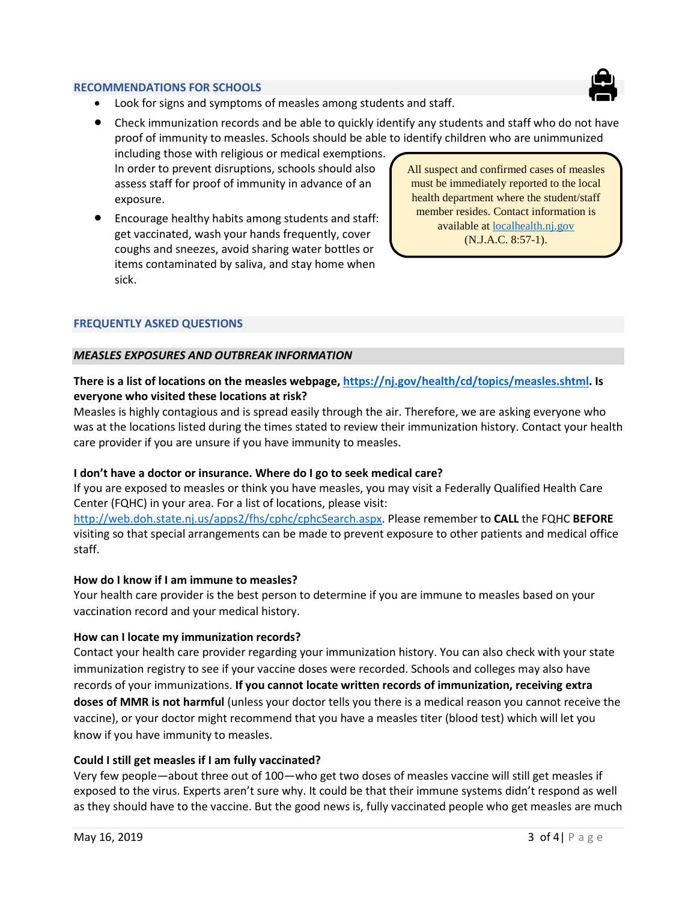### **RECOMMENDATIONS FOR SCHOOLS**



Look for signs and symptoms of measles among students and staff.

• Check immunization records and be able to quickly identify any students and staff who do not have proof of immunity to measles. Schools should be able to identify children who are unimmunized

including those with religious or medical exemptions. In order to prevent disruptions, schools should also assess staff for proof of immunity in advance of an exposure.

• Encourage healthy habits among students and staff: get vaccinated, wash your hands frequently, cover coughs and sneezes, avoid sharing water bottles or items contaminated by saliva, and stay home when sick.

All suspect and confirmed cases of measles must be immediately reported to the local health department where the student/staff member resides. Contact information is available at [localhealth.nj.gov](https://www.state.nj.us/health/lh/community/index.shtml#1) (N.J.A.C. 8:57-1).

### **FREQUENTLY ASKED QUESTIONS**

#### *MEASLES EXPOSURES AND OUTBREAK INFORMATION*

## **There is a list of locations on the measles webpage, [https://nj.gov/health/cd/topics/measles.shtml.](https://nj.gov/health/cd/topics/measles.shtml) Is everyone who visited these locations at risk?**

Measles is highly contagious and is spread easily through the air. Therefore, we are asking everyone who was at the locations listed during the times stated to review their immunization history. Contact your health care provider if you are unsure if you have immunity to measles.

#### **I don't have a doctor or insurance. Where do I go to seek medical care?**

If you are exposed to measles or think you have measles, you may visit a Federally Qualified Health Care Center (FQHC) in your area. For a list of locations, please visit:

[http://web.doh.state.nj.us/apps2/fhs/cphc/cphcSearch.aspx.](http://web.doh.state.nj.us/apps2/fhs/cphc/cphcSearch.aspx) Please remember to **CALL** the FQHC **BEFORE** visiting so that special arrangements can be made to prevent exposure to other patients and medical office staff.

#### **How do I know if I am immune to measles?**

Your health care provider is the best person to determine if you are immune to measles based on your vaccination record and your medical history.

#### **How can I locate my immunization records?**

Contact your health care provider regarding your immunization history. You can also check with your state immunization registry to see if your vaccine doses were recorded. Schools and colleges may also have records of your immunizations. **If you cannot locate written records of immunization, receiving extra doses of MMR is not harmful** (unless your doctor tells you there is a medical reason you cannot receive the vaccine), or your doctor might recommend that you have a measles titer (blood test) which will let you know if you have immunity to measles.

## **Could I still get measles if I am fully vaccinated?**

Very few people—about three out of 100—who get two doses of measles vaccine will still get measles if exposed to the virus. Experts aren't sure why. It could be that their immune systems didn't respond as well as they should have to the vaccine. But the good news is, fully vaccinated people who get measles are much